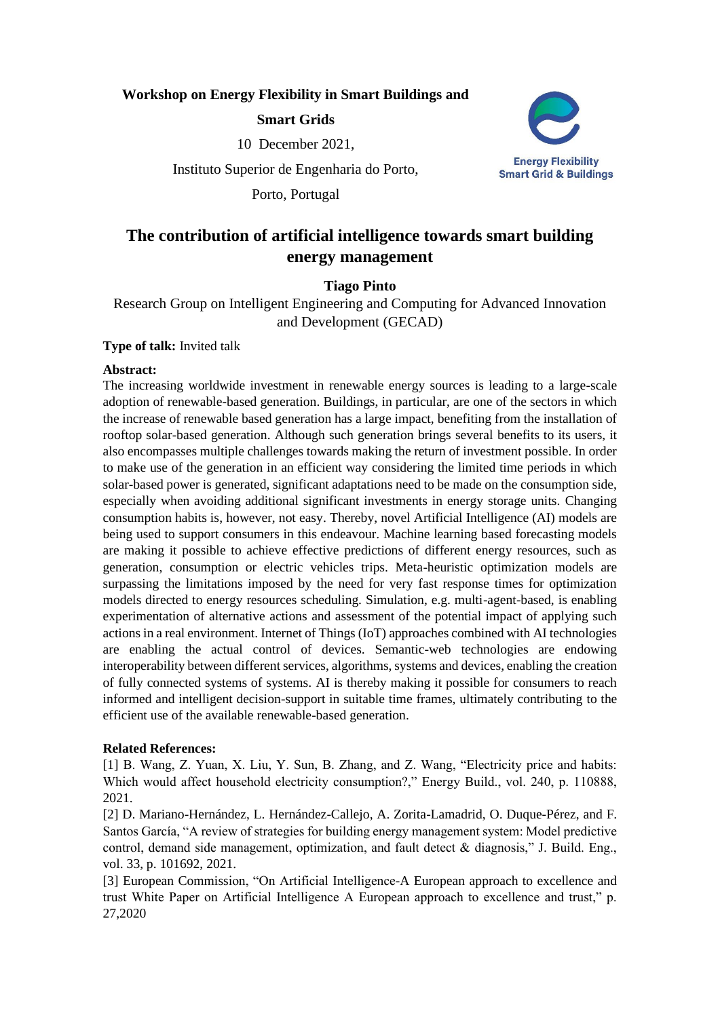# **Workshop on Energy Flexibility in Smart Buildings and**

# **Smart Grids**

10 December 2021,

Instituto Superior de Engenharia do Porto,

Porto, Portugal



# **The contribution of artificial intelligence towards smart building energy management**

# **Tiago Pinto**

Research Group on Intelligent Engineering and Computing for Advanced Innovation and Development (GECAD)

### **Type of talk:** Invited talk

### **Abstract:**

The increasing worldwide investment in renewable energy sources is leading to a large-scale adoption of renewable-based generation. Buildings, in particular, are one of the sectors in which the increase of renewable based generation has a large impact, benefiting from the installation of rooftop solar-based generation. Although such generation brings several benefits to its users, it also encompasses multiple challenges towards making the return of investment possible. In order to make use of the generation in an efficient way considering the limited time periods in which solar-based power is generated, significant adaptations need to be made on the consumption side, especially when avoiding additional significant investments in energy storage units. Changing consumption habits is, however, not easy. Thereby, novel Artificial Intelligence (AI) models are being used to support consumers in this endeavour. Machine learning based forecasting models are making it possible to achieve effective predictions of different energy resources, such as generation, consumption or electric vehicles trips. Meta-heuristic optimization models are surpassing the limitations imposed by the need for very fast response times for optimization models directed to energy resources scheduling. Simulation, e.g. multi-agent-based, is enabling experimentation of alternative actions and assessment of the potential impact of applying such actions in a real environment. Internet of Things (IoT) approaches combined with AI technologies are enabling the actual control of devices. Semantic-web technologies are endowing interoperability between different services, algorithms, systems and devices, enabling the creation of fully connected systems of systems. AI is thereby making it possible for consumers to reach informed and intelligent decision-support in suitable time frames, ultimately contributing to the efficient use of the available renewable-based generation.

# **Related References:**

[1] B. Wang, Z. Yuan, X. Liu, Y. Sun, B. Zhang, and Z. Wang, "Electricity price and habits: Which would affect household electricity consumption?," Energy Build., vol. 240, p. 110888, 2021.

[2] D. Mariano-Hernández, L. Hernández-Callejo, A. Zorita-Lamadrid, O. Duque-Pérez, and F. Santos García, "A review of strategies for building energy management system: Model predictive control, demand side management, optimization, and fault detect & diagnosis," J. Build. Eng., vol. 33, p. 101692, 2021.

[3] European Commission, "On Artificial Intelligence-A European approach to excellence and trust White Paper on Artificial Intelligence A European approach to excellence and trust," p. 27,2020